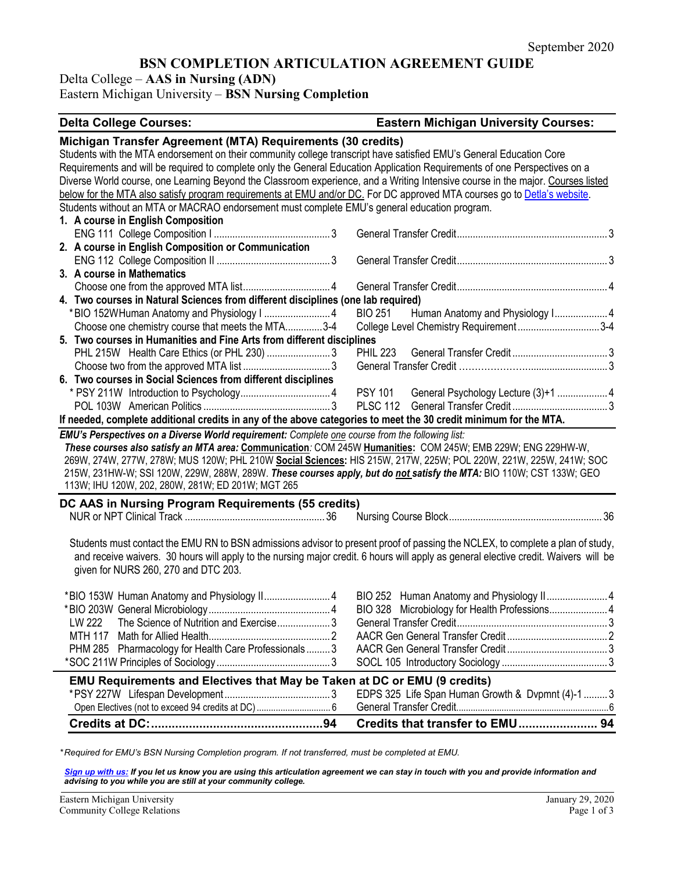# **BSN COMPLETION ARTICULATION AGREEMENT GUIDE**

Delta College – **AAS in Nursing (ADN)**

Eastern Michigan University – **BSN Nursing Completion**

#### **Delta College Courses: Eastern Michigan University Courses:**

| Michigan Transfer Agreement (MTA) Requirements (30 credits)                                                                          |                                                    |  |
|--------------------------------------------------------------------------------------------------------------------------------------|----------------------------------------------------|--|
| Students with the MTA endorsement on their community college transcript have satisfied EMU's General Education Core                  |                                                    |  |
| Requirements and will be required to complete only the General Education Application Requirements of one Perspectives on a           |                                                    |  |
| Diverse World course, one Learning Beyond the Classroom experience, and a Writing Intensive course in the major. Courses listed      |                                                    |  |
| below for the MTA also satisfy program requirements at EMU and/or DC. For DC approved MTA courses go to Detla's website.             |                                                    |  |
| Students without an MTA or MACRAO endorsement must complete EMU's general education program.                                         |                                                    |  |
| 1. A course in English Composition                                                                                                   |                                                    |  |
|                                                                                                                                      |                                                    |  |
| 2. A course in English Composition or Communication                                                                                  |                                                    |  |
|                                                                                                                                      |                                                    |  |
| 3. A course in Mathematics                                                                                                           |                                                    |  |
|                                                                                                                                      |                                                    |  |
| 4. Two courses in Natural Sciences from different disciplines (one lab required)                                                     |                                                    |  |
|                                                                                                                                      | Human Anatomy and Physiology I 4<br><b>BIO 251</b> |  |
| Choose one chemistry course that meets the MTA3-4                                                                                    | College Level Chemistry Requirement3-4             |  |
| 5. Two courses in Humanities and Fine Arts from different disciplines                                                                |                                                    |  |
|                                                                                                                                      |                                                    |  |
|                                                                                                                                      |                                                    |  |
| 6. Two courses in Social Sciences from different disciplines                                                                         |                                                    |  |
|                                                                                                                                      | PSY 101 General Psychology Lecture (3)+1  4        |  |
|                                                                                                                                      |                                                    |  |
| If needed, complete additional credits in any of the above categories to meet the 30 credit minimum for the MTA.                     |                                                    |  |
| EMU's Perspectives on a Diverse World requirement: Complete one course from the following list:                                      |                                                    |  |
| These courses also satisfy an MTA area: Communication: COM 245W Humanities: COM 245W; EMB 229W; ENG 229HW-W,                         |                                                    |  |
| 269W, 274W, 277W, 278W; MUS 120W; PHL 210W Social Sciences: HIS 215W, 217W, 225W; POL 220W, 221W, 225W, 241W; SOC                    |                                                    |  |
| 215W, 231HW-W; SSI 120W, 229W, 288W, 289W. These courses apply, but do not satisfy the MTA: BIO 110W; CST 133W; GEO                  |                                                    |  |
| 113W; IHU 120W, 202, 280W, 281W; ED 201W; MGT 265                                                                                    |                                                    |  |
| DC AAS in Nursing Program Requirements (55 credits)                                                                                  |                                                    |  |
|                                                                                                                                      |                                                    |  |
|                                                                                                                                      |                                                    |  |
| Students must contact the EMU RN to BSN admissions advisor to present proof of passing the NCLEX, to complete a plan of study,       |                                                    |  |
| and receive waivers. 30 hours will apply to the nursing major credit. 6 hours will apply as general elective credit. Waivers will be |                                                    |  |
| given for NURS 260, 270 and DTC 203.                                                                                                 |                                                    |  |
|                                                                                                                                      |                                                    |  |
|                                                                                                                                      |                                                    |  |
|                                                                                                                                      |                                                    |  |
| LW 222 The Science of Nutrition and Exercise3                                                                                        |                                                    |  |
|                                                                                                                                      |                                                    |  |
| PHM 285 Pharmacology for Health Care Professionals 3                                                                                 |                                                    |  |
|                                                                                                                                      |                                                    |  |
| EMU Requirements and Electives that May be Taken at DC or EMU (9 credits)                                                            |                                                    |  |
|                                                                                                                                      | EDPS 325 Life Span Human Growth & Dvpmnt (4)-1  3  |  |
| Open Electives (not to exceed 94 credits at DC)  6                                                                                   |                                                    |  |
|                                                                                                                                      | Credits that transfer to EMU 94                    |  |

*\* Required for EMU's BSN Nursing Completion program. If not transferred, must be completed at EMU.* 

*[Sign up with us:](https://www.emich.edu/ccr/articulation-agreements/signup.php) If you let us know you are using this articulation agreement we can stay in touch with you and provide information and advising to you while you are still at your community college.*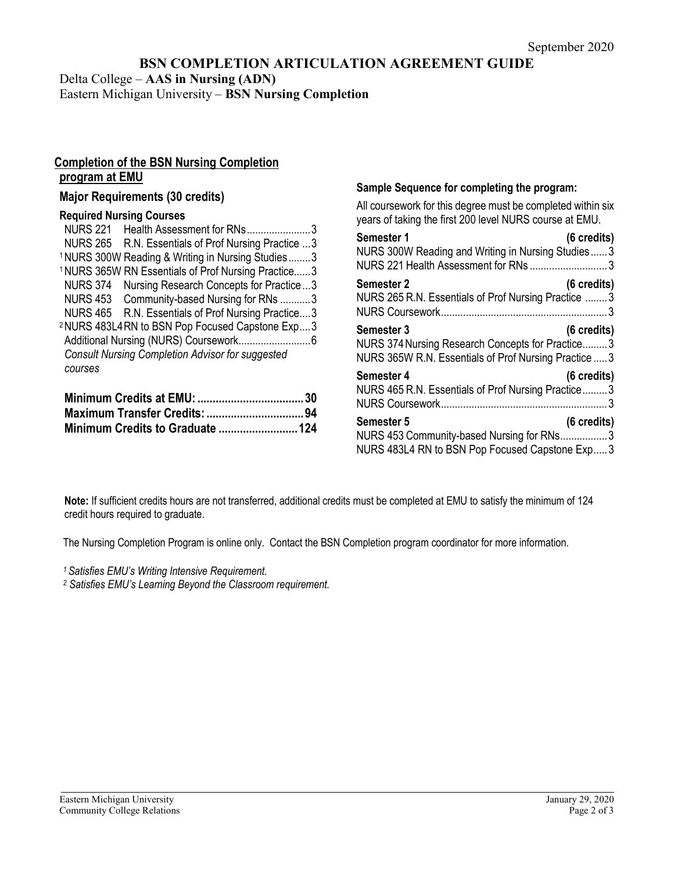# **BSN COMPLETION ARTICULATION AGREEMENT GUIDE**

Delta College – **AAS in Nursing (ADN)**

Eastern Michigan University – **BSN Nursing Completion**

## **Completion of the BSN Nursing Completion program at EMU**

### **Major Requirements (30 credits)**

#### **Required Nursing Courses**

| <b>NURS 221</b><br>Health Assessment for RNs3                  |  |  |
|----------------------------------------------------------------|--|--|
| <b>NURS 265</b><br>R.N. Essentials of Prof Nursing Practice 3  |  |  |
| <sup>1</sup> NURS 300W Reading & Writing in Nursing Studies3   |  |  |
| <sup>1</sup> NURS 365W RN Essentials of Prof Nursing Practice3 |  |  |
| <b>NURS 374</b><br>Nursing Research Concepts for Practice3     |  |  |
| NURS 453 Community-based Nursing for RNs 3                     |  |  |
| R.N. Essentials of Prof Nursing Practice3<br><b>NURS 465</b>   |  |  |
| <sup>2</sup> NURS 483L4RN to BSN Pop Focused Capstone Exp3     |  |  |
|                                                                |  |  |
| <b>Consult Nursing Completion Advisor for suggested</b>        |  |  |
| courses                                                        |  |  |
|                                                                |  |  |

#### **Sample Sequence for completing the program:**

All coursework for this degree must be completed within six years of taking the first 200 level NURS course at EMU.

| Semester 1<br>$(6 \text{ credits})$<br>NURS 300W Reading and Writing in Nursing Studies3<br>NURS 221 Health Assessment for RNs 3                 |
|--------------------------------------------------------------------------------------------------------------------------------------------------|
| $(6 \text{ credits})$<br><b>Semester 2</b><br>NURS 265 R.N. Essentials of Prof Nursing Practice  3                                               |
| Semester 3<br>$(6 \text{ credits})$<br>NURS 374 Nursing Research Concepts for Practice3<br>NURS 365W R.N. Essentials of Prof Nursing Practice  3 |
| Semester 4<br>$(6 \text{ credits})$<br>NURS 465 R.N. Essentials of Prof Nursing Practice 3                                                       |
| <b>Semester 5</b><br>$(6 \text{ credits})$<br>NURS 453 Community-based Nursing for RNs3<br>NURS 483L4 RN to BSN Pop Focused Capstone Exp 3       |

**Note:** If sufficient credits hours are not transferred, additional credits must be completed at EMU to satisfy the minimum of 124 credit hours required to graduate.

The Nursing Completion Program is online only. Contact the BSN Completion program coordinator for more information.

*1 Satisfies EMU's Writing Intensive Requirement.*

*<sup>2</sup> Satisfies EMU's Learning Beyond the Classroom requirement.*